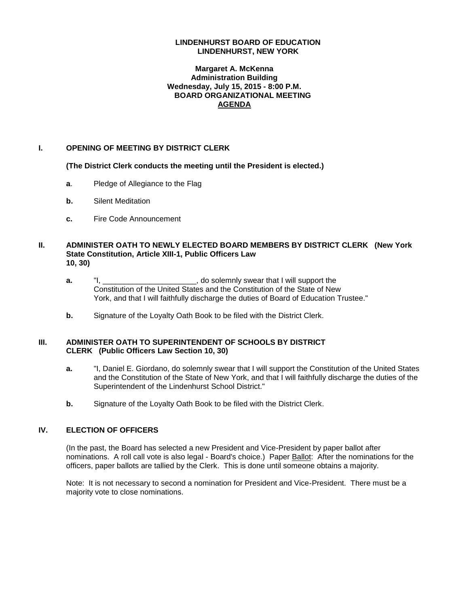#### **LINDENHURST BOARD OF EDUCATION LINDENHURST, NEW YORK**

#### **Margaret A. McKenna Administration Building Wednesday, July 15, 2015 - 8:00 P.M. BOARD ORGANIZATIONAL MEETING AGENDA**

#### **I. OPENING OF MEETING BY DISTRICT CLERK**

**(The District Clerk conducts the meeting until the President is elected.)**

- **a.** Pledge of Allegiance to the Flag
- **b.** Silent Meditation
- **c.** Fire Code Announcement

#### **II. ADMINISTER OATH TO NEWLY ELECTED BOARD MEMBERS BY DISTRICT CLERK (New York State Constitution, Article XIII-1, Public Officers Law 10, 30)**

- **a.** "I, \_\_\_\_\_\_\_\_\_\_\_\_\_\_\_\_\_\_\_\_, do solemnly swear that I will support the Constitution of the United States and the Constitution of the State of New York, and that I will faithfully discharge the duties of Board of Education Trustee."
- **b.** Signature of the Loyalty Oath Book to be filed with the District Clerk.

#### **III. ADMINISTER OATH TO SUPERINTENDENT OF SCHOOLS BY DISTRICT CLERK (Public Officers Law Section 10, 30)**

- **a.** "I, Daniel E. Giordano, do solemnly swear that I will support the Constitution of the United States and the Constitution of the State of New York, and that I will faithfully discharge the duties of the Superintendent of the Lindenhurst School District."
- **b.** Signature of the Loyalty Oath Book to be filed with the District Clerk.

### **IV. ELECTION OF OFFICERS**

(In the past, the Board has selected a new President and Vice-President by paper ballot after nominations. A roll call vote is also legal - Board's choice.) Paper Ballot: After the nominations for the officers, paper ballots are tallied by the Clerk. This is done until someone obtains a majority.

Note: It is not necessary to second a nomination for President and Vice-President. There must be a majority vote to close nominations.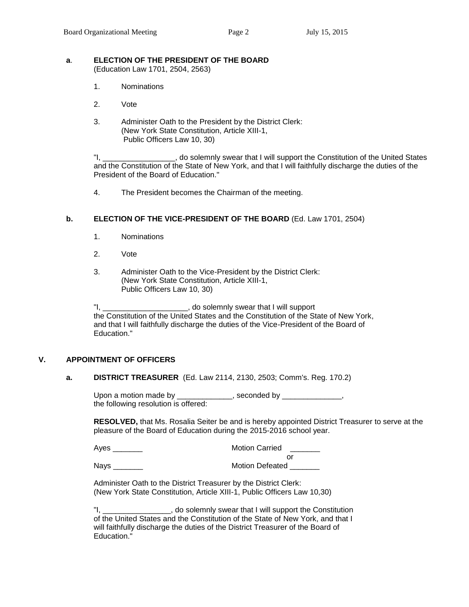#### **a**. **ELECTION OF THE PRESIDENT OF THE BOARD** (Education Law 1701, 2504, 2563)

- 1. Nominations
- 2. Vote
- 3. Administer Oath to the President by the District Clerk: (New York State Constitution, Article XIII-1, Public Officers Law 10, 30)

"I, \_\_\_\_\_\_\_\_\_\_\_\_\_\_\_\_\_, do solemnly swear that I will support the Constitution of the United States and the Constitution of the State of New York, and that I will faithfully discharge the duties of the President of the Board of Education."

4. The President becomes the Chairman of the meeting.

#### **b. ELECTION OF THE VICE-PRESIDENT OF THE BOARD** (Ed. Law 1701, 2504)

- 1. Nominations
- 2. Vote
- 3. Administer Oath to the Vice-President by the District Clerk: (New York State Constitution, Article XIII-1, Public Officers Law 10, 30)

"I, \_\_\_\_\_\_\_\_\_\_\_\_\_\_\_\_\_\_\_\_, do solemnly swear that I will support the Constitution of the United States and the Constitution of the State of New York, and that I will faithfully discharge the duties of the Vice-President of the Board of Education."

# **V. APPOINTMENT OF OFFICERS**

#### **a. DISTRICT TREASURER** (Ed. Law 2114, 2130, 2503; Comm's. Reg. 170.2)

Upon a motion made by \_\_\_\_\_\_\_\_\_\_\_\_\_, seconded by \_\_\_\_\_\_\_\_\_\_\_\_\_\_, the following resolution is offered:

**RESOLVED,** that Ms. Rosalia Seiter be and is hereby appointed District Treasurer to serve at the pleasure of the Board of Education during the 2015-2016 school year.

| Aves        | <b>Motion Carried</b>  |
|-------------|------------------------|
|             |                        |
| <b>Nays</b> | <b>Motion Defeated</b> |

Administer Oath to the District Treasurer by the District Clerk: (New York State Constitution, Article XIII-1, Public Officers Law 10,30)

"I, \_\_\_\_\_\_\_\_\_\_\_\_\_\_\_\_, do solemnly swear that I will support the Constitution of the United States and the Constitution of the State of New York, and that I will faithfully discharge the duties of the District Treasurer of the Board of Education."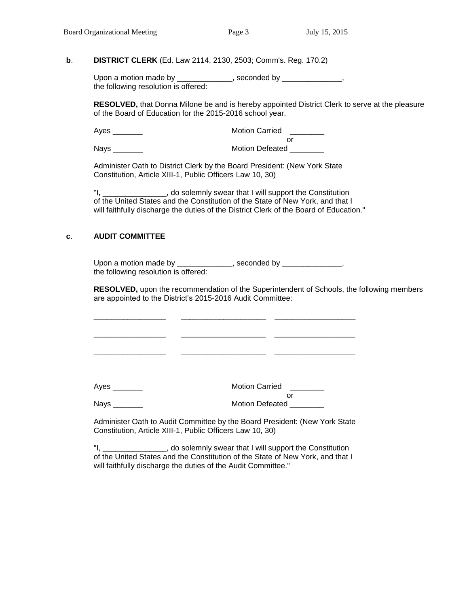# **b**. **DISTRICT CLERK** (Ed. Law 2114, 2130, 2503; Comm's. Reg. 170.2)

Upon a motion made by \_\_\_\_\_\_\_\_\_\_\_\_\_, seconded by \_\_\_\_\_\_\_\_\_\_\_\_\_\_, the following resolution is offered:

**RESOLVED,** that Donna Milone be and is hereby appointed District Clerk to serve at the pleasure of the Board of Education for the 2015-2016 school year.

| Ayes | <b>Motion Carried</b>  |
|------|------------------------|
|      |                        |
| Nays | <b>Motion Defeated</b> |

Administer Oath to District Clerk by the Board President: (New York State Constitution, Article XIII-1, Public Officers Law 10, 30)

"I, \_\_\_\_\_\_\_\_\_\_\_\_\_\_\_, do solemnly swear that I will support the Constitution of the United States and the Constitution of the State of New York, and that I will faithfully discharge the duties of the District Clerk of the Board of Education."

#### **c**. **AUDIT COMMITTEE**

Upon a motion made by \_\_\_\_\_\_\_\_\_\_\_\_\_\_, seconded by \_\_\_\_\_\_\_\_\_\_\_\_\_\_\_, the following resolution is offered:

\_\_\_\_\_\_\_\_\_\_\_\_\_\_\_\_\_ \_\_\_\_\_\_\_\_\_\_\_\_\_\_\_\_\_\_\_\_ \_\_\_\_\_\_\_\_\_\_\_\_\_\_\_\_\_\_\_

\_\_\_\_\_\_\_\_\_\_\_\_\_\_\_\_\_ \_\_\_\_\_\_\_\_\_\_\_\_\_\_\_\_\_\_\_\_ \_\_\_\_\_\_\_\_\_\_\_\_\_\_\_\_\_\_\_

**RESOLVED,** upon the recommendation of the Superintendent of Schools, the following members are appointed to the District's 2015-2016 Audit Committee:

\_\_\_\_\_\_\_\_\_\_\_\_\_\_\_\_\_ \_\_\_\_\_\_\_\_\_\_\_\_\_\_\_\_\_\_\_\_ \_\_\_\_\_\_\_\_\_\_\_\_\_\_\_\_\_\_\_

Ayes \_\_\_\_\_\_\_ Motion Carried \_\_\_\_\_\_\_\_ or

Nays \_\_\_\_\_\_\_ Motion Defeated \_\_\_\_\_\_\_\_

Administer Oath to Audit Committee by the Board President: (New York State Constitution, Article XIII-1, Public Officers Law 10, 30)

"I, \_\_\_\_\_\_\_\_\_\_\_\_\_\_\_, do solemnly swear that I will support the Constitution of the United States and the Constitution of the State of New York, and that I will faithfully discharge the duties of the Audit Committee."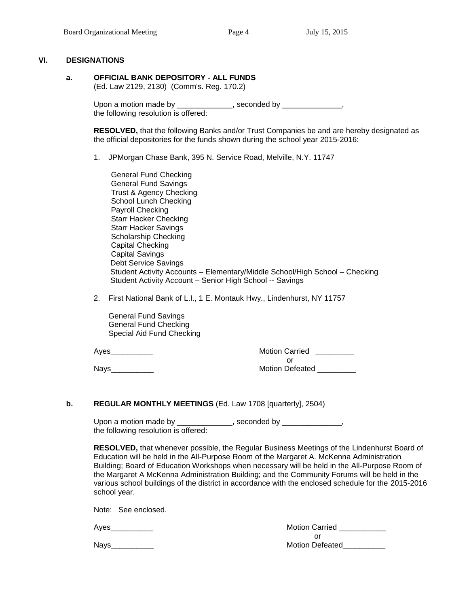#### **VI. DESIGNATIONS**

**a. OFFICIAL BANK DEPOSITORY - ALL FUNDS**

(Ed. Law 2129, 2130) (Comm's. Reg. 170.2)

Upon a motion made by \_\_\_\_\_\_\_\_\_\_\_\_\_\_, seconded by \_\_\_\_\_\_\_\_\_\_\_\_\_\_\_, the following resolution is offered:

**RESOLVED,** that the following Banks and/or Trust Companies be and are hereby designated as the official depositories for the funds shown during the school year 2015-2016:

1. JPMorgan Chase Bank, 395 N. Service Road, Melville, N.Y. 11747

General Fund Checking General Fund Savings Trust & Agency Checking School Lunch Checking Payroll Checking Starr Hacker Checking Starr Hacker Savings Scholarship Checking Capital Checking Capital Savings Debt Service Savings Student Activity Accounts – Elementary/Middle School/High School – Checking Student Activity Account – Senior High School -- Savings

2. First National Bank of L.I., 1 E. Montauk Hwy., Lindenhurst, NY 11757

 General Fund Savings General Fund Checking Special Aid Fund Checking

Ayes **Axes** Ayes **Axes** Ayes **Axes** Ayes **Axes** Ayes **Axes** Ayes **Ayes Ayes Ayes Ayes Ayes Ayes Ayes Ayes Ayes Ayes Ayes Ayes Ayes Ayes Ayes Ayes Ayes Ayes Ayes Ayes Ayes Ayes Ay** or Nays\_\_\_\_\_\_\_\_\_\_ Motion Defeated \_\_\_\_\_\_\_\_\_

**b. REGULAR MONTHLY MEETINGS** (Ed. Law 1708 [quarterly], 2504)

Upon a motion made by \_\_\_\_\_\_\_\_\_\_\_\_\_, seconded by \_\_\_\_\_\_\_\_\_\_\_\_\_\_, the following resolution is offered:

**RESOLVED,** that whenever possible, the Regular Business Meetings of the Lindenhurst Board of Education will be held in the All-Purpose Room of the Margaret A. McKenna Administration Building; Board of Education Workshops when necessary will be held in the All-Purpose Room of the Margaret A McKenna Administration Building; and the Community Forums will be held in the various school buildings of the district in accordance with the enclosed schedule for the 2015-2016 school year.

Note: See enclosed.

Motion Carried \_\_\_\_\_\_\_\_\_\_\_ or Nays\_\_\_\_\_\_\_\_\_\_ Motion Defeated\_\_\_\_\_\_\_\_\_\_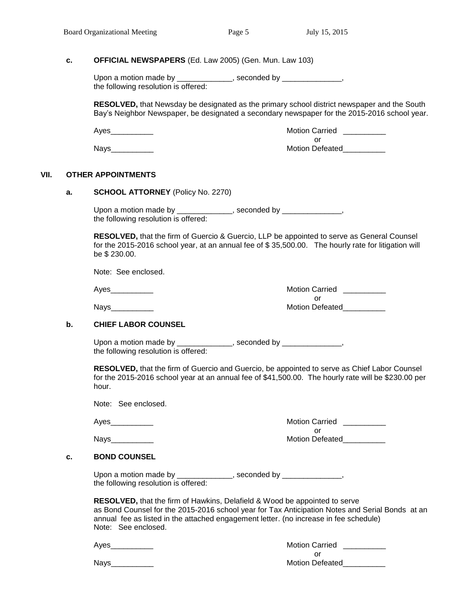#### **c. OFFICIAL NEWSPAPERS** (Ed. Law 2005) (Gen. Mun. Law 103)

Upon a motion made by \_\_\_\_\_\_\_\_\_\_\_\_\_, seconded by \_\_\_\_\_\_\_\_\_\_\_\_\_\_, the following resolution is offered:

**RESOLVED,** that Newsday be designated as the primary school district newspaper and the South Bay's Neighbor Newspaper, be designated a secondary newspaper for the 2015-2016 school year.

Ayes\_\_\_\_\_\_\_\_\_\_ Motion Carried \_\_\_\_\_\_\_\_\_\_ or Nays\_\_\_\_\_\_\_\_\_\_ Motion Defeated\_\_\_\_\_\_\_\_\_\_

#### **VII. OTHER APPOINTMENTS**

**a. SCHOOL ATTORNEY** (Policy No. 2270)

Upon a motion made by \_\_\_\_\_\_\_\_\_\_\_\_\_, seconded by \_\_\_\_\_\_\_\_\_\_\_\_\_\_, the following resolution is offered:

**RESOLVED,** that the firm of Guercio & Guercio, LLP be appointed to serve as General Counsel for the 2015-2016 school year, at an annual fee of \$ 35,500.00. The hourly rate for litigation will be \$ 230.00.

Note: See enclosed.

Ayes\_\_\_\_\_\_\_\_\_\_ Motion Carried \_\_\_\_\_\_\_\_\_\_ or Nays\_\_\_\_\_\_\_\_\_\_ Motion Defeated\_\_\_\_\_\_\_\_\_\_

### **b. CHIEF LABOR COUNSEL**

Upon a motion made by \_\_\_\_\_\_\_\_\_\_\_\_\_\_, seconded by \_\_\_\_\_\_\_\_\_\_\_\_\_\_\_, the following resolution is offered:

**RESOLVED,** that the firm of Guercio and Guercio, be appointed to serve as Chief Labor Counsel for the 2015-2016 school year at an annual fee of \$41,500.00. The hourly rate will be \$230.00 per hour.

Note: See enclosed.

Ayes\_\_\_\_\_\_\_\_\_\_ Motion Carried \_\_\_\_\_\_\_\_\_\_ or

Nays\_\_\_\_\_\_\_\_\_\_ Motion Defeated\_\_\_\_\_\_\_\_\_\_

#### **c. BOND COUNSEL**

| Upon a motion made by                | , seconded by |
|--------------------------------------|---------------|
| the following resolution is offered: |               |

**RESOLVED,** that the firm of Hawkins, Delafield & Wood be appointed to serve as Bond Counsel for the 2015-2016 school year for Tax Anticipation Notes and Serial Bonds at an annual fee as listed in the attached engagement letter. (no increase in fee schedule) Note: See enclosed.

| Ayes | <b>Motion Carried</b>  |
|------|------------------------|
|      |                        |
| Nays | <b>Motion Defeated</b> |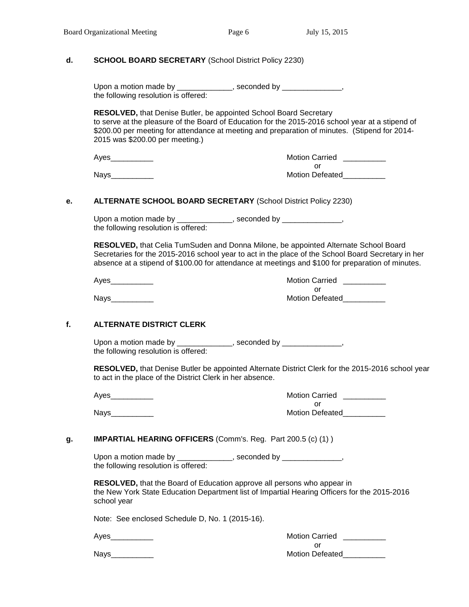#### **d. SCHOOL BOARD SECRETARY** (School District Policy 2230)

Upon a motion made by \_\_\_\_\_\_\_\_\_\_\_\_\_, seconded by \_\_\_\_\_\_\_\_\_\_\_\_\_\_, the following resolution is offered:

**RESOLVED,** that Denise Butler, be appointed School Board Secretary to serve at the pleasure of the Board of Education for the 2015-2016 school year at a stipend of \$200.00 per meeting for attendance at meeting and preparation of minutes. (Stipend for 2014-2015 was \$200.00 per meeting.)

| Ayes | <b>Motion Carried</b>  |
|------|------------------------|
|      |                        |
| Nays | <b>Motion Defeated</b> |

#### **e. ALTERNATE SCHOOL BOARD SECRETARY** (School District Policy 2230)

Upon a motion made by \_\_\_\_\_\_\_\_\_\_\_\_\_, seconded by \_\_\_\_\_\_\_\_\_\_\_\_\_\_, the following resolution is offered:

**RESOLVED,** that Celia TumSuden and Donna Milone, be appointed Alternate School Board Secretaries for the 2015-2016 school year to act in the place of the School Board Secretary in her absence at a stipend of \$100.00 for attendance at meetings and \$100 for preparation of minutes.

Ayes\_\_\_\_\_\_\_\_\_\_ Motion Carried \_\_\_\_\_\_\_\_\_\_ or Nays\_\_\_\_\_\_\_\_\_\_ Motion Defeated\_\_\_\_\_\_\_\_\_\_

#### **f. ALTERNATE DISTRICT CLERK**

Upon a motion made by \_\_\_\_\_\_\_\_\_\_\_\_\_\_, seconded by \_\_\_\_\_\_\_\_\_\_\_\_\_\_\_, the following resolution is offered:

**RESOLVED,** that Denise Butler be appointed Alternate District Clerk for the 2015-2016 school year to act in the place of the District Clerk in her absence.

Ayes\_\_\_\_\_\_\_\_\_\_\_\_\_

Nays\_\_\_\_\_\_\_\_\_\_ Motion Defeated\_\_\_\_\_\_\_\_\_\_

| <b>Motion Carried</b> |  |
|-----------------------|--|
| Ωr                    |  |
| Motion Defeated       |  |

#### **g. IMPARTIAL HEARING OFFICERS** (Comm's. Reg. Part 200.5 (c) (1) )

Upon a motion made by \_\_\_\_\_\_\_\_\_\_\_\_\_, seconded by \_\_\_\_\_\_\_\_\_\_\_\_\_\_, the following resolution is offered:

**RESOLVED,** that the Board of Education approve all persons who appear in the New York State Education Department list of Impartial Hearing Officers for the 2015-2016 school year

Note: See enclosed Schedule D, No. 1 (2015-16).

Ayes **Abulue 2018** Motion Carried **Motion Carried** or Nays **Nation Defeated**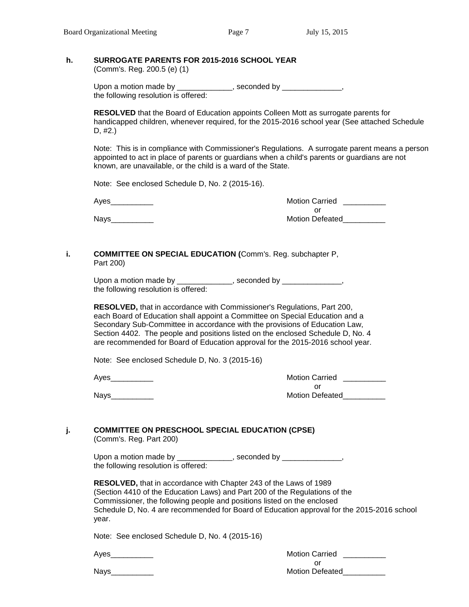# **h. SURROGATE PARENTS FOR 2015-2016 SCHOOL YEAR**

(Comm's. Reg. 200.5 (e) (1)

Upon a motion made by \_\_\_\_\_\_\_\_\_\_\_\_\_, seconded by \_\_\_\_\_\_\_\_\_\_\_\_\_\_, the following resolution is offered:

**RESOLVED** that the Board of Education appoints Colleen Mott as surrogate parents for handicapped children, whenever required, for the 2015-2016 school year (See attached Schedule D, #2.)

Note: This is in compliance with Commissioner's Regulations. A surrogate parent means a person appointed to act in place of parents or guardians when a child's parents or guardians are not known, are unavailable, or the child is a ward of the State.

Note: See enclosed Schedule D, No. 2 (2015-16).

Ayes

Nays\_\_\_\_\_\_\_\_\_\_ Motion Defeated\_\_\_\_\_\_\_\_\_\_

| <b>Motion Carried</b> |  |
|-----------------------|--|
| nr                    |  |
| Motion Defeated       |  |

#### **i. COMMITTEE ON SPECIAL EDUCATION (**Comm's. Reg. subchapter P, Part 200)

Upon a motion made by \_\_\_\_\_\_\_\_\_\_\_\_\_, seconded by \_\_\_\_\_\_\_\_\_\_\_\_\_\_, the following resolution is offered:

**RESOLVED,** that in accordance with Commissioner's Regulations, Part 200, each Board of Education shall appoint a Committee on Special Education and a Secondary Sub-Committee in accordance with the provisions of Education Law, Section 4402. The people and positions listed on the enclosed Schedule D, No. 4 are recommended for Board of Education approval for the 2015-2016 school year.

Note: See enclosed Schedule D, No. 3 (2015-16)

Ayes **Abulue 2018** Motion Carried **Agency** Motion Carried **Agency** Motion Carried **Agency** 2019 or Nays\_\_\_\_\_\_\_\_\_\_ Motion Defeated\_\_\_\_\_\_\_\_\_\_

# **j. COMMITTEE ON PRESCHOOL SPECIAL EDUCATION (CPSE)**

(Comm's. Reg. Part 200)

Upon a motion made by \_\_\_\_\_\_\_\_\_\_\_\_\_, seconded by \_\_\_\_\_\_\_\_\_\_\_\_\_\_, the following resolution is offered:

**RESOLVED,** that in accordance with Chapter 243 of the Laws of 1989 (Section 4410 of the Education Laws) and Part 200 of the Regulations of the Commissioner, the following people and positions listed on the enclosed Schedule D, No. 4 are recommended for Board of Education approval for the 2015-2016 school year.

Note: See enclosed Schedule D, No. 4 (2015-16)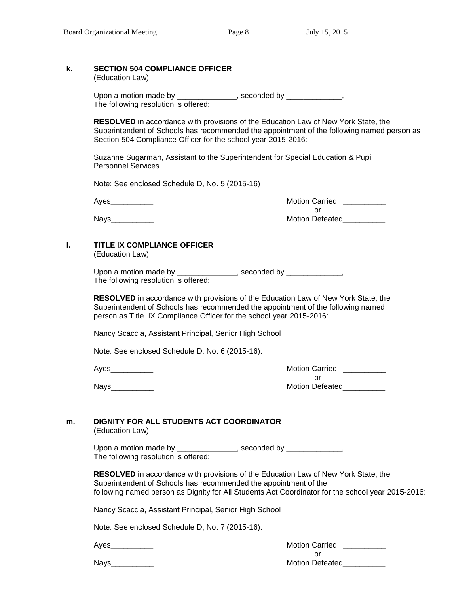# **k. SECTION 504 COMPLIANCE OFFICER**

(Education Law)

Upon a motion made by \_\_\_\_\_\_\_\_\_\_\_\_\_\_, seconded by \_\_\_\_\_\_\_\_\_\_\_\_\_, The following resolution is offered:

**RESOLVED** in accordance with provisions of the Education Law of New York State, the Superintendent of Schools has recommended the appointment of the following named person as Section 504 Compliance Officer for the school year 2015-2016:

Suzanne Sugarman, Assistant to the Superintendent for Special Education & Pupil Personnel Services

Note: See enclosed Schedule D, No. 5 (2015-16)

Ayes\_\_\_\_\_\_\_\_\_\_ Motion Carried \_\_\_\_\_\_\_\_\_\_ or Nays\_\_\_\_\_\_\_\_\_\_ Motion Defeated\_\_\_\_\_\_\_\_\_\_

# **l. TITLE IX COMPLIANCE OFFICER**

(Education Law)

Upon a motion made by \_\_\_\_\_\_\_\_\_\_\_\_\_\_, seconded by \_\_\_\_\_\_\_\_\_\_\_\_, The following resolution is offered:

**RESOLVED** in accordance with provisions of the Education Law of New York State, the Superintendent of Schools has recommended the appointment of the following named person as Title IX Compliance Officer for the school year 2015-2016:

Nancy Scaccia, Assistant Principal, Senior High School

Note: See enclosed Schedule D, No. 6 (2015-16).

Ayes\_\_\_\_\_\_\_\_\_\_ Motion Carried \_\_\_\_\_\_\_\_\_\_ or Nays\_\_\_\_\_\_\_\_\_\_ Motion Defeated\_\_\_\_\_\_\_\_\_\_

#### **m. DIGNITY FOR ALL STUDENTS ACT COORDINATOR**  (Education Law)

Upon a motion made by \_\_\_\_\_\_\_\_\_\_\_\_\_\_\_, seconded by \_\_\_\_\_\_\_\_\_\_\_\_\_\_, The following resolution is offered:

**RESOLVED** in accordance with provisions of the Education Law of New York State, the Superintendent of Schools has recommended the appointment of the following named person as Dignity for All Students Act Coordinator for the school year 2015-2016:

Nancy Scaccia, Assistant Principal, Senior High School

Note: See enclosed Schedule D, No. 7 (2015-16).

Ayes\_\_\_\_\_\_\_\_\_\_ Motion Carried \_\_\_\_\_\_\_\_\_\_ or

Nays\_\_\_\_\_\_\_\_\_\_ Motion Defeated\_\_\_\_\_\_\_\_\_\_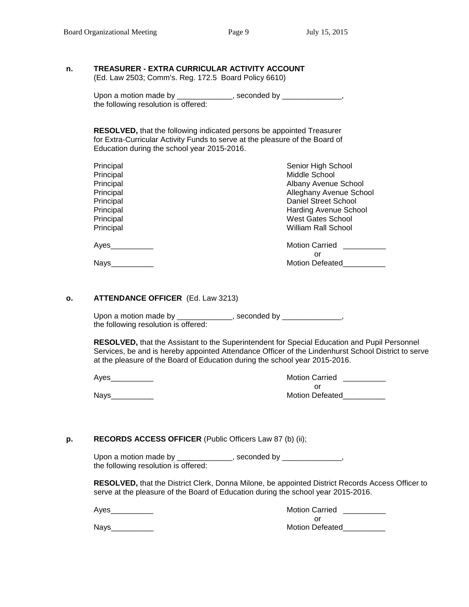# **n. TREASURER - EXTRA CURRICULAR ACTIVITY ACCOUNT**

(Ed. Law 2503; Comm's. Reg. 172.5 Board Policy 6610)

| Upon a motion made by                | , seconded by |  |
|--------------------------------------|---------------|--|
| the following resolution is offered: |               |  |

**RESOLVED,** that the following indicated persons be appointed Treasurer for Extra-Curricular Activity Funds to serve at the pleasure of the Board of Education during the school year 2015-2016.

| Principal   | Senior High School           |
|-------------|------------------------------|
| Principal   | Middle School                |
| Principal   | Albany Avenue School         |
| Principal   | Alleghany Avenue School      |
| Principal   | Daniel Street School         |
| Principal   | <b>Harding Avenue School</b> |
| Principal   | West Gates School            |
| Principal   | William Rall School          |
| Ayes        | <b>Motion Carried</b>        |
|             | or                           |
| <b>Nays</b> | <b>Motion Defeated</b>       |
|             |                              |

#### **o. ATTENDANCE OFFICER** (Ed. Law 3213)

Upon a motion made by \_\_\_\_\_\_\_\_\_\_\_\_\_, seconded by \_\_\_\_\_\_\_\_\_\_\_\_\_\_, the following resolution is offered:

**RESOLVED,** that the Assistant to the Superintendent for Special Education and Pupil Personnel Services, be and is hereby appointed Attendance Officer of the Lindenhurst School District to serve at the pleasure of the Board of Education during the school year 2015-2016.

Ayes\_\_\_\_\_\_\_\_\_\_ Motion Carried \_\_\_\_\_\_\_\_\_\_

Nays\_\_\_\_\_\_\_\_\_\_ Motion Defeated\_\_\_\_\_\_\_\_\_\_

| <b>Motion Carried</b>  |  |
|------------------------|--|
| Ωr                     |  |
| <b>Motion Defeated</b> |  |

### **p. RECORDS ACCESS OFFICER** (Public Officers Law 87 (b) (ii);

Upon a motion made by \_\_\_\_\_\_\_\_\_\_\_\_\_, seconded by \_\_\_\_\_\_\_\_\_\_\_\_\_\_, the following resolution is offered:

**RESOLVED,** that the District Clerk, Donna Milone, be appointed District Records Access Officer to serve at the pleasure of the Board of Education during the school year 2015-2016.

Ayes **Abulue 2018** Motion Carried **Agency** Motion Carried **Agency** Motion Carried **Agency** 2019 or Nays\_\_\_\_\_\_\_\_\_\_ Motion Defeated\_\_\_\_\_\_\_\_\_\_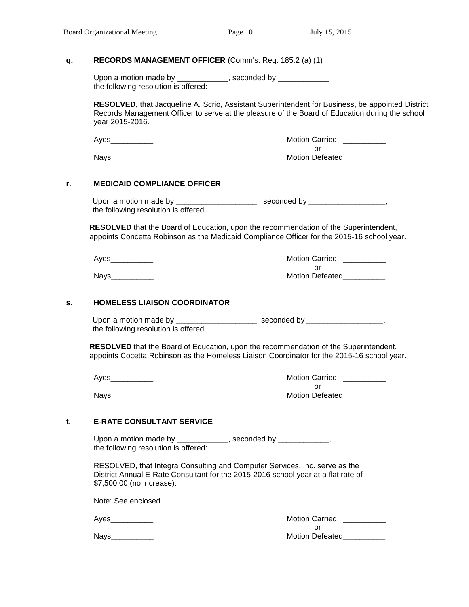#### **q. RECORDS MANAGEMENT OFFICER** (Comm's. Reg. 185.2 (a) (1)

Upon a motion made by \_\_\_\_\_\_\_\_\_\_\_\_, seconded by \_\_\_\_\_\_\_\_\_\_\_\_, the following resolution is offered:

**RESOLVED,** that Jacqueline A. Scrio, Assistant Superintendent for Business, be appointed District Records Management Officer to serve at the pleasure of the Board of Education during the school year 2015-2016.

Ayes example and the set of the Motion Carried League of the Motion Carried League of the Second Second Second S or

Nays\_\_\_\_\_\_\_\_\_\_ Motion Defeated\_\_\_\_\_\_\_\_\_\_

### **r. MEDICAID COMPLIANCE OFFICER**

Upon a motion made by \_\_\_\_\_\_\_\_\_\_\_\_\_\_\_\_\_\_\_, seconded by \_\_\_\_\_\_\_\_\_\_\_\_\_\_\_\_\_, the following resolution is offered

 **RESOLVED** that the Board of Education, upon the recommendation of the Superintendent, appoints Concetta Robinson as the Medicaid Compliance Officer for the 2015-16 school year.

Ayes extending the matrix of the Motion Carried Ayes extending the Motion Carried Ayes and the Motion Carried Ayes and the Motion Carried Ayes and the Motion Carried Ayes and the Motion Carried Ayes and the Motion Carried

or Nays **Nation Defeated** 

#### **s. HOMELESS LIAISON COORDINATOR**

Upon a motion made by \_\_\_\_\_\_\_\_\_\_\_\_\_\_\_\_\_\_\_, seconded by \_\_\_\_\_\_\_\_\_\_\_\_\_\_\_\_\_\_, the following resolution is offered

 **RESOLVED** that the Board of Education, upon the recommendation of the Superintendent, appoints Cocetta Robinson as the Homeless Liaison Coordinator for the 2015-16 school year.

Ayes\_\_\_\_\_\_\_\_\_\_ Motion Carried \_\_\_\_\_\_\_\_\_\_ or Nays\_\_\_\_\_\_\_\_\_\_ Motion Defeated\_\_\_\_\_\_\_\_\_\_

### **t. E-RATE CONSULTANT SERVICE**

Upon a motion made by \_\_\_\_\_\_\_\_\_\_\_\_, seconded by \_\_\_\_\_\_\_\_\_\_\_\_, the following resolution is offered:

RESOLVED, that Integra Consulting and Computer Services, Inc. serve as the District Annual E-Rate Consultant for the 2015-2016 school year at a flat rate of \$7,500.00 (no increase).

Note: See enclosed.

Ayes\_\_\_\_\_\_\_\_\_\_ Motion Carried \_\_\_\_\_\_\_\_\_\_

| <b>Motion Carried</b>  |  |
|------------------------|--|
| Ωr                     |  |
| <b>Motion Defeated</b> |  |

Nays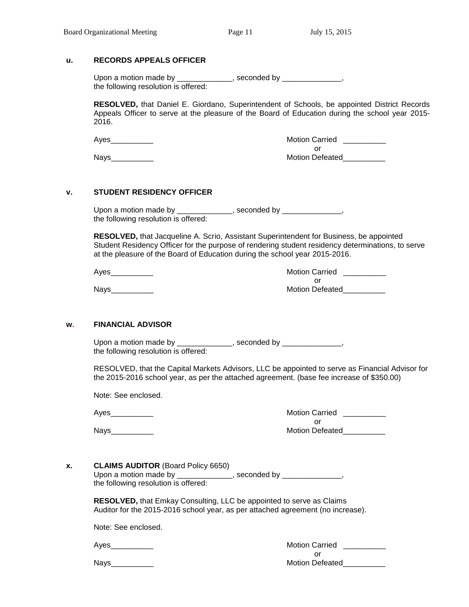#### **u. RECORDS APPEALS OFFICER**

| Upon a motion made by                | , seconded by |  |
|--------------------------------------|---------------|--|
| the following resolution is offered: |               |  |

**RESOLVED,** that Daniel E. Giordano, Superintendent of Schools, be appointed District Records Appeals Officer to serve at the pleasure of the Board of Education during the school year 2015- 2016.

Ayes example and the set of the Motion Carried League of the Motion Carried League of the Second Second League or Nays **Nation Defeated** 

### **v. STUDENT RESIDENCY OFFICER**

Upon a motion made by \_\_\_\_\_\_\_\_\_\_\_\_\_, seconded by \_\_\_\_\_\_\_\_\_\_\_\_\_\_, the following resolution is offered:

**RESOLVED,** that Jacqueline A. Scrio, Assistant Superintendent for Business, be appointed Student Residency Officer for the purpose of rendering student residency determinations, to serve at the pleasure of the Board of Education during the school year 2015-2016.

| Ayes        | <b>Motion Carried</b>  |
|-------------|------------------------|
|             |                        |
| <b>Nays</b> | <b>Motion Defeated</b> |

#### **w. FINANCIAL ADVISOR**

Upon a motion made by \_\_\_\_\_\_\_\_\_\_\_\_\_\_, seconded by \_\_\_\_\_\_\_\_\_\_\_\_\_\_\_, the following resolution is offered:

RESOLVED, that the Capital Markets Advisors, LLC be appointed to serve as Financial Advisor for the 2015-2016 school year, as per the attached agreement. (base fee increase of \$350.00)

Note: See enclosed.

| Ayes        | <b>Motion Carried</b>  |
|-------------|------------------------|
|             |                        |
| <b>Nays</b> | <b>Motion Defeated</b> |

# **x. CLAIMS AUDITOR** (Board Policy 6650) Upon a motion made by \_\_\_\_\_\_\_\_\_\_\_\_\_, seconded by \_\_\_\_\_\_\_\_\_\_\_\_\_\_,

the following resolution is offered:

**RESOLVED,** that Emkay Consulting, LLC be appointed to serve as Claims Auditor for the 2015-2016 school year, as per attached agreement (no increase).

Note: See enclosed.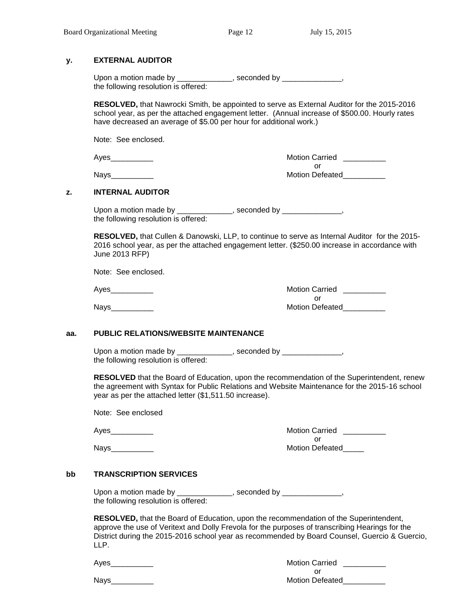#### **y. EXTERNAL AUDITOR**

| Upon a motion made by                | , seconded by |
|--------------------------------------|---------------|
| the following resolution is offered: |               |

**RESOLVED,** that Nawrocki Smith, be appointed to serve as External Auditor for the 2015-2016 school year, as per the attached engagement letter. (Annual increase of \$500.00. Hourly rates have decreased an average of \$5.00 per hour for additional work.)

Note: See enclosed.

Ayes\_\_\_\_\_\_\_\_\_\_ Motion Carried \_\_\_\_\_\_\_\_\_\_ or Nays\_\_\_\_\_\_\_\_\_\_ Motion Defeated\_\_\_\_\_\_\_\_\_\_

#### **z. INTERNAL AUDITOR**

Upon a motion made by \_\_\_\_\_\_\_\_\_\_\_\_\_, seconded by \_\_\_\_\_\_\_\_\_\_\_\_\_\_, the following resolution is offered:

**RESOLVED,** that Cullen & Danowski, LLP, to continue to serve as Internal Auditor for the 2015- 2016 school year, as per the attached engagement letter. (\$250.00 increase in accordance with June 2013 RFP)

Note: See enclosed.

Ayes\_\_\_\_\_\_\_\_\_\_ Motion Carried \_\_\_\_\_\_\_\_\_\_ or Nays\_\_\_\_\_\_\_\_\_\_ Motion Defeated\_\_\_\_\_\_\_\_\_\_

### **aa. PUBLIC RELATIONS/WEBSITE MAINTENANCE**

Upon a motion made by \_\_\_\_\_\_\_\_\_\_\_\_\_, seconded by \_\_\_\_\_\_\_\_\_\_\_\_\_\_, the following resolution is offered:

**RESOLVED** that the Board of Education, upon the recommendation of the Superintendent, renew the agreement with Syntax for Public Relations and Website Maintenance for the 2015-16 school year as per the attached letter (\$1,511.50 increase).

Note: See enclosed

Nays **Nation Defeated** 

Ayes\_\_\_\_\_\_\_\_\_\_ Motion Carried \_\_\_\_\_\_\_\_\_\_ or

#### **bb TRANSCRIPTION SERVICES**

Upon a motion made by \_\_\_\_\_\_\_\_\_\_\_\_\_, seconded by \_\_\_\_\_\_\_\_\_\_\_\_\_\_, the following resolution is offered:

**RESOLVED,** that the Board of Education, upon the recommendation of the Superintendent, approve the use of Veritext and Dolly Frevola for the purposes of transcribing Hearings for the District during the 2015-2016 school year as recommended by Board Counsel, Guercio & Guercio, LLP.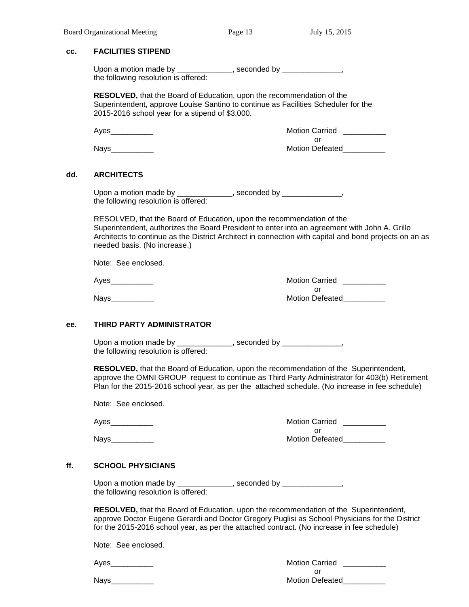#### **cc. FACILITIES STIPEND**

| Upon a motion made by                | seconded by _ |
|--------------------------------------|---------------|
| the following resolution is offered: |               |

**RESOLVED,** that the Board of Education, upon the recommendation of the Superintendent, approve Louise Santino to continue as Facilities Scheduler for the 2015-2016 school year for a stipend of \$3,000.

Ayes\_\_\_\_\_\_\_\_\_\_ Motion Carried \_\_\_\_\_\_\_\_\_\_

or Nays\_\_\_\_\_\_\_\_\_\_ Motion Defeated\_\_\_\_\_\_\_\_\_\_

#### **dd. ARCHITECTS**

Upon a motion made by \_\_\_\_\_\_\_\_\_\_\_\_\_, seconded by \_\_\_\_\_\_\_\_\_\_\_\_\_\_, the following resolution is offered:

RESOLVED, that the Board of Education, upon the recommendation of the Superintendent, authorizes the Board President to enter into an agreement with John A. Grillo Architects to continue as the District Architect in connection with capital and bond projects on an as needed basis. (No increase.)

Note: See enclosed.

Ayes\_\_\_\_\_\_\_\_\_\_ Motion Carried \_\_\_\_\_\_\_\_\_\_ or Nays\_\_\_\_\_\_\_\_\_\_ Motion Defeated\_\_\_\_\_\_\_\_\_\_

#### **ee. THIRD PARTY ADMINISTRATOR**

Upon a motion made by \_\_\_\_\_\_\_\_\_\_\_\_\_, seconded by \_\_\_\_\_\_\_\_\_\_\_\_\_\_, the following resolution is offered:

**RESOLVED,** that the Board of Education, upon the recommendation of the Superintendent, approve the OMNI GROUP request to continue as Third Party Administrator for 403(b) Retirement Plan for the 2015-2016 school year, as per the attached schedule. (No increase in fee schedule)

Note: See enclosed.

Ayes\_\_\_\_\_\_\_\_\_\_ Motion Carried \_\_\_\_\_\_\_\_\_\_ or Nays\_\_\_\_\_\_\_\_\_\_ Motion Defeated\_\_\_\_\_\_\_\_\_\_

#### **ff. SCHOOL PHYSICIANS**

Upon a motion made by \_\_\_\_\_\_\_\_\_\_\_\_\_, seconded by \_\_\_\_\_\_\_\_\_\_\_\_\_\_, the following resolution is offered:

**RESOLVED,** that the Board of Education, upon the recommendation of the Superintendent, approve Doctor Eugene Gerardi and Doctor Gregory Puglisi as School Physicians for the District for the 2015-2016 school year, as per the attached contract. (No increase in fee schedule)

Note: See enclosed.

Ayes\_\_\_\_\_\_\_\_\_\_\_\_\_

 $N$ ays

| Motion Carried  |  |
|-----------------|--|
| Ωr              |  |
| Motion Defeated |  |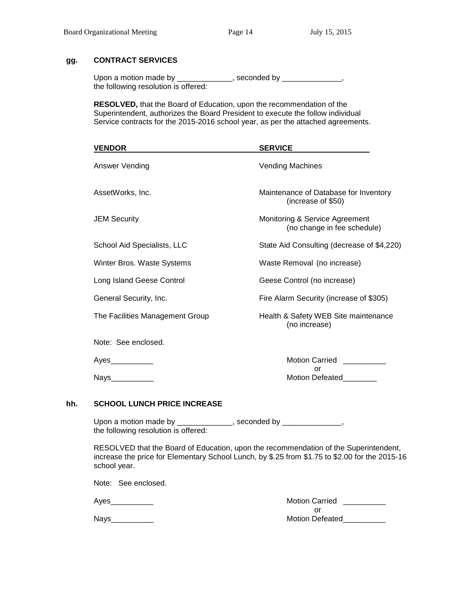# **gg. CONTRACT SERVICES**

| Upon a motion made by                | seconded by . |  |
|--------------------------------------|---------------|--|
| the following resolution is offered: |               |  |

**RESOLVED,** that the Board of Education, upon the recommendation of the Superintendent, authorizes the Board President to execute the follow individual Service contracts for the 2015-2016 school year, as per the attached agreements.

|     | <b>VENDOR</b>                                                                                                                                                                                          | <b>SERVICE</b>                                                |
|-----|--------------------------------------------------------------------------------------------------------------------------------------------------------------------------------------------------------|---------------------------------------------------------------|
|     | Answer Vending                                                                                                                                                                                         | <b>Vending Machines</b>                                       |
|     | AssetWorks, Inc.                                                                                                                                                                                       | Maintenance of Database for Inventory<br>(increase of \$50)   |
|     | <b>JEM Security</b>                                                                                                                                                                                    | Monitoring & Service Agreement<br>(no change in fee schedule) |
|     | School Aid Specialists, LLC                                                                                                                                                                            | State Aid Consulting (decrease of \$4,220)                    |
|     | Winter Bros. Waste Systems                                                                                                                                                                             | Waste Removal (no increase)                                   |
|     | Long Island Geese Control                                                                                                                                                                              | Geese Control (no increase)                                   |
|     | General Security, Inc.                                                                                                                                                                                 | Fire Alarm Security (increase of \$305)                       |
|     | The Facilities Management Group                                                                                                                                                                        | Health & Safety WEB Site maintenance<br>(no increase)         |
|     | Note: See enclosed.                                                                                                                                                                                    |                                                               |
|     | Ayes___________                                                                                                                                                                                        | Motion Carried __________                                     |
|     | Nays___________                                                                                                                                                                                        | or<br>Motion Defeated_______                                  |
| hh. | <b>SCHOOL LUNCH PRICE INCREASE</b>                                                                                                                                                                     |                                                               |
|     | Upon a motion made by _____________, seconded by _____________,<br>the following resolution is offered:                                                                                                |                                                               |
|     | RESOLVED that the Board of Education, upon the recommendation of the Superintendent,<br>increase the price for Elementary School Lunch, by \$.25 from \$1.75 to \$2.00 for the 2015-16<br>school year. |                                                               |
|     | Note: See enclosed.                                                                                                                                                                                    |                                                               |
|     | Ayes                                                                                                                                                                                                   | Motion Carried _________<br>or.                               |

or Nays\_\_\_\_\_\_\_\_\_\_ Motion Defeated\_\_\_\_\_\_\_\_\_\_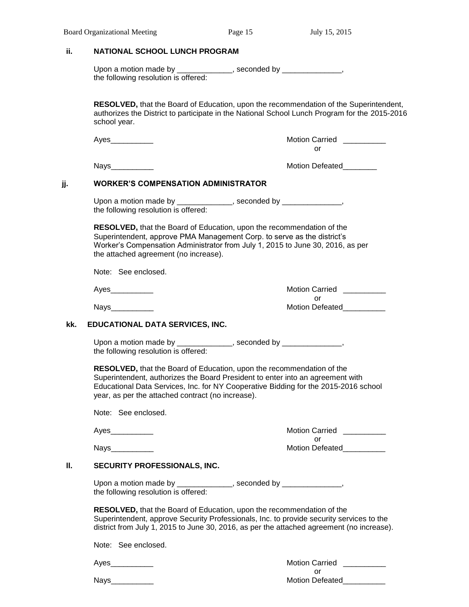|     | Upon a motion made by ______________, seconded by ______________,<br>the following resolution is offered:        |                                                                                                                                                                                                                                                                |
|-----|------------------------------------------------------------------------------------------------------------------|----------------------------------------------------------------------------------------------------------------------------------------------------------------------------------------------------------------------------------------------------------------|
|     | school year.                                                                                                     | RESOLVED, that the Board of Education, upon the recommendation of the Superintendent,<br>authorizes the District to participate in the National School Lunch Program for the 2015-2016                                                                         |
|     | Ayes___________                                                                                                  | Motion Carried __________<br>or                                                                                                                                                                                                                                |
|     | Nays__________                                                                                                   |                                                                                                                                                                                                                                                                |
| jj. | <b>WORKER'S COMPENSATION ADMINISTRATOR</b>                                                                       |                                                                                                                                                                                                                                                                |
|     | Upon a motion made by ______________, seconded by ______________,<br>the following resolution is offered:        |                                                                                                                                                                                                                                                                |
|     | Superintendent, approve PMA Management Corp. to serve as the district's<br>the attached agreement (no increase). | RESOLVED, that the Board of Education, upon the recommendation of the<br>Worker's Compensation Administrator from July 1, 2015 to June 30, 2016, as per                                                                                                        |
|     | Note: See enclosed.                                                                                              |                                                                                                                                                                                                                                                                |
|     | Ayes___________                                                                                                  |                                                                                                                                                                                                                                                                |
|     | Nays_________                                                                                                    | or<br><b>Motion Defeated</b>                                                                                                                                                                                                                                   |
| kk. | EDUCATIONAL DATA SERVICES, INC.                                                                                  |                                                                                                                                                                                                                                                                |
|     | Upon a motion made by ______________, seconded by ______________,<br>the following resolution is offered:        |                                                                                                                                                                                                                                                                |
|     | year, as per the attached contract (no increase).                                                                | RESOLVED, that the Board of Education, upon the recommendation of the<br>Superintendent, authorizes the Board President to enter into an agreement with<br>Educational Data Services, Inc. for NY Cooperative Bidding for the 2015-2016 school                 |
|     |                                                                                                                  |                                                                                                                                                                                                                                                                |
|     | Note: See enclosed.                                                                                              |                                                                                                                                                                                                                                                                |
|     | Ayes___________                                                                                                  |                                                                                                                                                                                                                                                                |
|     | Nays___________                                                                                                  | Motion Carried __________<br>or<br>Motion Defeated <b>Motion</b>                                                                                                                                                                                               |
| Ш.  | SECURITY PROFESSIONALS, INC.                                                                                     |                                                                                                                                                                                                                                                                |
|     | Upon a motion made by _____________, seconded by _____________,<br>the following resolution is offered:          |                                                                                                                                                                                                                                                                |
|     |                                                                                                                  | RESOLVED, that the Board of Education, upon the recommendation of the<br>Superintendent, approve Security Professionals, Inc. to provide security services to the<br>district from July 1, 2015 to June 30, 2016, as per the attached agreement (no increase). |

| -<br>11 |  |  |
|---------|--|--|
|         |  |  |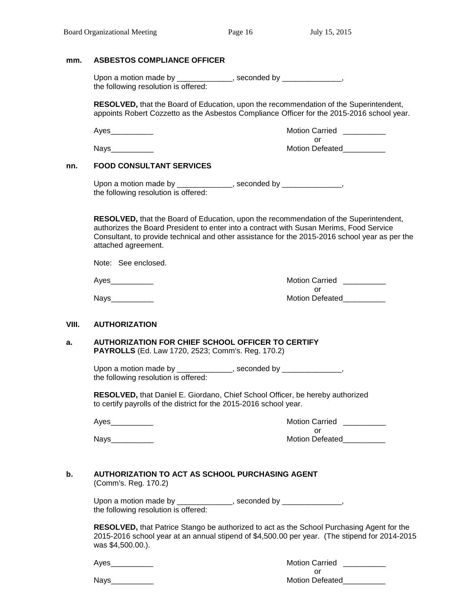#### **mm. ASBESTOS COMPLIANCE OFFICER**

| Upon a motion made by                | , seconded by |  |
|--------------------------------------|---------------|--|
| the following resolution is offered: |               |  |

**RESOLVED,** that the Board of Education, upon the recommendation of the Superintendent, appoints Robert Cozzetto as the Asbestos Compliance Officer for the 2015-2016 school year.

| Ayes        | <b>Motion Carried</b>  |
|-------------|------------------------|
|             |                        |
| <b>Nays</b> | <b>Motion Defeated</b> |

#### **nn. FOOD CONSULTANT SERVICES**

| Upon a motion made by                | , seconded by |  |
|--------------------------------------|---------------|--|
| the following resolution is offered: |               |  |

**RESOLVED,** that the Board of Education, upon the recommendation of the Superintendent, authorizes the Board President to enter into a contract with Susan Merims, Food Service Consultant, to provide technical and other assistance for the 2015-2016 school year as per the attached agreement.

Note: See enclosed.

Ayes\_\_\_\_\_\_\_\_\_\_ Motion Carried \_\_\_\_\_\_\_\_\_\_

or

Nays\_\_\_\_\_\_\_\_\_\_ Motion Defeated\_\_\_\_\_\_\_\_\_\_

#### **VIII. AUTHORIZATION**

#### **a. AUTHORIZATION FOR CHIEF SCHOOL OFFICER TO CERTIFY PAYROLLS** (Ed. Law 1720, 2523; Comm's. Reg. 170.2)

Upon a motion made by \_\_\_\_\_\_\_\_\_\_\_\_\_, seconded by \_\_\_\_\_\_\_\_\_\_\_\_\_\_, the following resolution is offered:

**RESOLVED,** that Daniel E. Giordano, Chief School Officer, be hereby authorized to certify payrolls of the district for the 2015-2016 school year.

Ayes\_\_\_\_\_\_\_\_\_\_ Motion Carried \_\_\_\_\_\_\_\_\_\_ or Nays\_\_\_\_\_\_\_\_\_\_ Motion Defeated\_\_\_\_\_\_\_\_\_\_

# **b. AUTHORIZATION TO ACT AS SCHOOL PURCHASING AGENT**

(Comm's. Reg. 170.2)

| Upon a motion made by                | , seconded by |
|--------------------------------------|---------------|
| the following resolution is offered: |               |

**RESOLVED,** that Patrice Stango be authorized to act as the School Purchasing Agent for the 2015-2016 school year at an annual stipend of \$4,500.00 per year. (The stipend for 2014-2015 was \$4,500.00.).

| Ayes | <b>Motion Carried</b>  |
|------|------------------------|
|      |                        |
| Nays | <b>Motion Defeated</b> |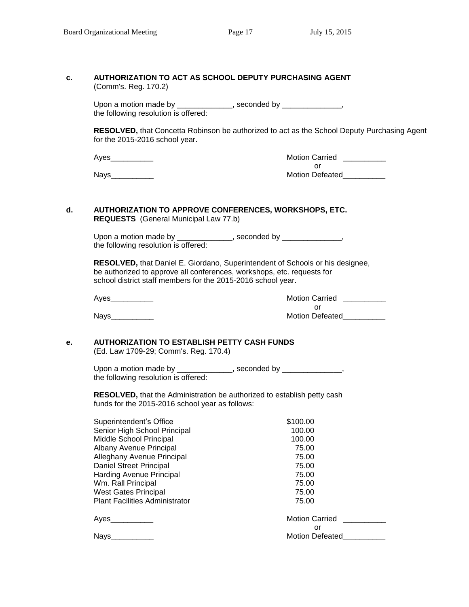| c. | (Comm's. Reg. 170.2)                                                                                                                   | AUTHORIZATION TO ACT AS SCHOOL DEPUTY PURCHASING AGENT                                      |
|----|----------------------------------------------------------------------------------------------------------------------------------------|---------------------------------------------------------------------------------------------|
|    |                                                                                                                                        |                                                                                             |
|    | the following resolution is offered:                                                                                                   | Upon a motion made by _____________, seconded by _____________,                             |
|    | for the 2015-2016 school year.                                                                                                         | RESOLVED, that Concetta Robinson be authorized to act as the School Deputy Purchasing Agent |
|    | Ayes___________                                                                                                                        | Motion Carried __________                                                                   |
|    | Nays____________                                                                                                                       | or<br>Motion Defeated_                                                                      |
| d. | <b>REQUESTS</b> (General Municipal Law 77.b)                                                                                           | AUTHORIZATION TO APPROVE CONFERENCES, WORKSHOPS, ETC.                                       |
|    | the following resolution is offered:                                                                                                   | Upon a motion made by _____________, seconded by _____________,                             |
|    | be authorized to approve all conferences, workshops, etc. requests for<br>school district staff members for the 2015-2016 school year. | RESOLVED, that Daniel E. Giordano, Superintendent of Schools or his designee,               |
|    |                                                                                                                                        | Motion Carried __________                                                                   |
|    | Nays__________                                                                                                                         | or<br>Motion Defeated___________                                                            |
| e. | <b>AUTHORIZATION TO ESTABLISH PETTY CASH FUNDS</b><br>(Ed. Law 1709-29; Comm's. Reg. 170.4)                                            |                                                                                             |
|    | the following resolution is offered:                                                                                                   | Upon a motion made by _____________, seconded by _____________,                             |
|    | funds for the 2015-2016 school year as follows:                                                                                        | RESOLVED, that the Administration be authorized to establish petty cash                     |
|    | Superintendent's Office                                                                                                                | \$100.00                                                                                    |
|    | Senior High School Principal                                                                                                           | 100.00                                                                                      |
|    | Middle School Principal                                                                                                                | 100.00                                                                                      |
|    | Albany Avenue Principal                                                                                                                | 75.00                                                                                       |
|    | Alleghany Avenue Principal                                                                                                             | 75.00                                                                                       |
|    | Daniel Street Principal                                                                                                                | 75.00                                                                                       |
|    | Harding Avenue Principal                                                                                                               | 75.00                                                                                       |
|    | Wm. Rall Principal                                                                                                                     | 75.00                                                                                       |
|    | <b>West Gates Principal</b>                                                                                                            | 75.00                                                                                       |
|    | <b>Plant Facilities Administrator</b>                                                                                                  | 75.00                                                                                       |
|    | Ayes___________                                                                                                                        | <b>Motion Carried</b>                                                                       |
|    |                                                                                                                                        | or                                                                                          |
|    | Nays_                                                                                                                                  | <b>Motion Defeated</b>                                                                      |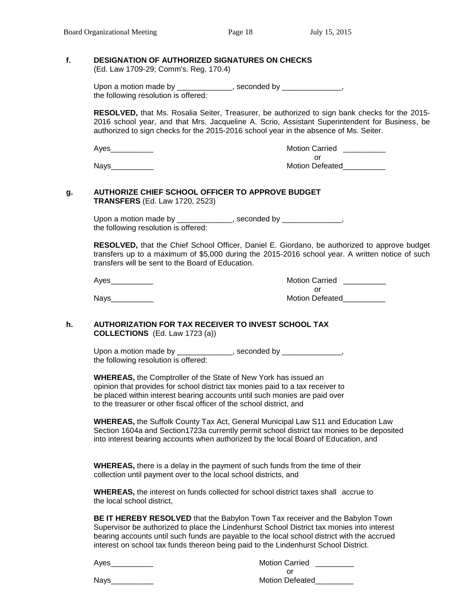#### **f. DESIGNATION OF AUTHORIZED SIGNATURES ON CHECKS**

(Ed. Law 1709-29; Comm's. Reg. 170.4)

Upon a motion made by \_\_\_\_\_\_\_\_\_\_\_\_\_, seconded by \_\_\_\_\_\_\_\_\_\_\_\_\_\_, the following resolution is offered:

**RESOLVED,** that Ms. Rosalia Seiter, Treasurer, be authorized to sign bank checks for the 2015- 2016 school year, and that Mrs. Jacqueline A. Scrio, Assistant Superintendent for Business, be authorized to sign checks for the 2015-2016 school year in the absence of Ms. Seiter.

Ayes\_\_\_\_\_\_\_\_\_\_ Motion Carried \_\_\_\_\_\_\_\_\_\_ or Nays **Nation Defeated** 

#### **g. AUTHORIZE CHIEF SCHOOL OFFICER TO APPROVE BUDGET TRANSFERS** (Ed. Law 1720, 2523)

Upon a motion made by \_\_\_\_\_\_\_\_\_\_\_\_\_, seconded by \_\_\_\_\_\_\_\_\_\_\_\_\_\_, the following resolution is offered:

**RESOLVED,** that the Chief School Officer, Daniel E. Giordano, be authorized to approve budget transfers up to a maximum of \$5,000 during the 2015-2016 school year. A written notice of such transfers will be sent to the Board of Education.

Ayes\_\_\_\_\_\_\_\_\_\_ Motion Carried \_\_\_\_\_\_\_\_\_\_ or Nays\_\_\_\_\_\_\_\_\_\_ Motion Defeated\_\_\_\_\_\_\_\_\_\_

#### **h. AUTHORIZATION FOR TAX RECEIVER TO INVEST SCHOOL TAX COLLECTIONS** (Ed. Law 1723 (a))

Upon a motion made by \_\_\_\_\_\_\_\_\_\_\_\_, seconded by \_\_\_\_\_\_\_\_\_\_\_\_\_, the following resolution is offered:

**WHEREAS,** the Comptroller of the State of New York has issued an opinion that provides for school district tax monies paid to a tax receiver to be placed within interest bearing accounts until such monies are paid over to the treasurer or other fiscal officer of the school district, and

**WHEREAS,** the Suffolk County Tax Act, General Municipal Law S11 and Education Law Section 1604a and Section1723a currently permit school district tax monies to be deposited into interest bearing accounts when authorized by the local Board of Education, and

**WHEREAS,** there is a delay in the payment of such funds from the time of their collection until payment over to the local school districts, and

**WHEREAS,** the interest on funds collected for school district taxes shall accrue to the local school district,

**BE IT HEREBY RESOLVED** that the Babylon Town Tax receiver and the Babylon Town Supervisor be authorized to place the Lindenhurst School District tax monies into interest bearing accounts until such funds are payable to the local school district with the accrued interest on school tax funds thereon being paid to the Lindenhurst School District.

| Aves | <b>Motion Carried</b>  |
|------|------------------------|
|      |                        |
| Nays | <b>Motion Defeated</b> |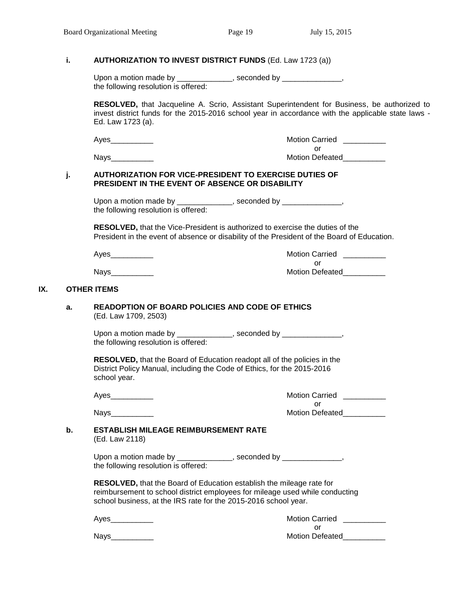#### **i. AUTHORIZATION TO INVEST DISTRICT FUNDS** (Ed. Law 1723 (a))

| Upon a motion made by                | , seconded by |  |
|--------------------------------------|---------------|--|
| the following resolution is offered: |               |  |

**RESOLVED,** that Jacqueline A. Scrio, Assistant Superintendent for Business, be authorized to invest district funds for the 2015-2016 school year in accordance with the applicable state laws - Ed. Law 1723 (a).

|     |    |                                                                                                                                                                                     | <b>Motion Carried</b>  |
|-----|----|-------------------------------------------------------------------------------------------------------------------------------------------------------------------------------------|------------------------|
|     |    |                                                                                                                                                                                     | or                     |
|     |    | Nays__________                                                                                                                                                                      | Motion Defeated        |
|     | j. | <b>AUTHORIZATION FOR VICE-PRESIDENT TO EXERCISE DUTIES OF</b><br>PRESIDENT IN THE EVENT OF ABSENCE OR DISABILITY                                                                    |                        |
|     |    | Upon a motion made by ______________, seconded by _______________,<br>the following resolution is offered:                                                                          |                        |
|     |    | <b>RESOLVED, that the Vice-President is authorized to exercise the duties of the</b><br>President in the event of absence or disability of the President of the Board of Education. |                        |
|     |    | <b>Motion Carried</b>                                                                                                                                                               |                        |
|     |    |                                                                                                                                                                                     | or                     |
|     |    |                                                                                                                                                                                     | <b>Motion Defeated</b> |
| IX. |    | <b>OTHER ITEMS</b>                                                                                                                                                                  |                        |
|     | a. | <b>READOPTION OF BOARD POLICIES AND CODE OF ETHICS</b><br>(Ed. Law 1709, 2503)                                                                                                      |                        |
|     |    | Upon a motion made by _____________, seconded by ______________,<br>the following resolution is offered:                                                                            |                        |

**RESOLVED,** that the Board of Education readopt all of the policies in the District Policy Manual, including the Code of Ethics, for the 2015-2016 school year.

| Na<br>יי<br>c |
|---------------|
|---------------|

| Ayes | <b>Motion Carried</b>  |
|------|------------------------|
|      |                        |
| Navs | <b>Motion Defeated</b> |

#### **b. ESTABLISH MILEAGE REIMBURSEMENT RATE**  (Ed. Law 2118)

Upon a motion made by \_\_\_\_\_\_\_\_\_\_\_\_\_, seconded by \_\_\_\_\_\_\_\_\_\_\_\_\_\_, the following resolution is offered:

**RESOLVED,** that the Board of Education establish the mileage rate for reimbursement to school district employees for mileage used while conducting school business, at the IRS rate for the 2015-2016 school year.

| ົ<br>A. |
|---------|
|---------|

| Ayes | <b>Motion Carried</b>  |
|------|------------------------|
|      |                        |
| Nays | <b>Motion Defeated</b> |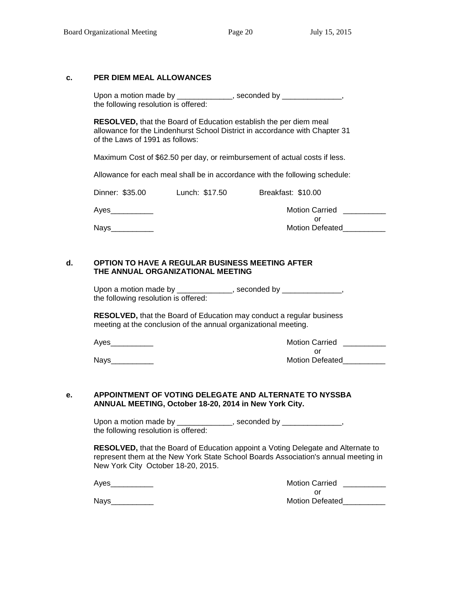# **c. PER DIEM MEAL ALLOWANCES**

| Upon a motion made by                | , seconded by |  |
|--------------------------------------|---------------|--|
| the following resolution is offered: |               |  |

**RESOLVED,** that the Board of Education establish the per diem meal allowance for the Lindenhurst School District in accordance with Chapter 31 of the Laws of 1991 as follows:

Maximum Cost of \$62.50 per day, or reimbursement of actual costs if less.

Allowance for each meal shall be in accordance with the following schedule:

| Dinner: \$35.00                                                                                                                                                                                                                 | Lunch: \$17.50 | Breakfast: \$10.00           |
|---------------------------------------------------------------------------------------------------------------------------------------------------------------------------------------------------------------------------------|----------------|------------------------------|
| Ayes and the state of the state of the state of the state of the state of the state of the state of the state of the state of the state of the state of the state of the state of the state of the state of the state of the st |                | <b>Motion Carried</b>        |
| <b>Navs</b>                                                                                                                                                                                                                     |                | Ωľ<br><b>Motion Defeated</b> |

#### **d. OPTION TO HAVE A REGULAR BUSINESS MEETING AFTER THE ANNUAL ORGANIZATIONAL MEETING**

Upon a motion made by \_\_\_\_\_\_\_\_\_\_\_\_\_\_, seconded by \_\_\_\_\_\_\_\_\_\_\_\_\_\_\_, the following resolution is offered:

**RESOLVED,** that the Board of Education may conduct a regular business meeting at the conclusion of the annual organizational meeting.

Ayes\_\_\_\_\_\_\_\_\_\_ Motion Carried \_\_\_\_\_\_\_\_\_\_

| Ayes        | Motion Carried         |
|-------------|------------------------|
|             |                        |
| <b>Nays</b> | <b>Motion Defeated</b> |

#### **e. APPOINTMENT OF VOTING DELEGATE AND ALTERNATE TO NYSSBA ANNUAL MEETING, October 18-20, 2014 in New York City.**

Upon a motion made by \_\_\_\_\_\_\_\_\_\_\_\_\_, seconded by \_\_\_\_\_\_\_\_\_\_\_\_\_\_, the following resolution is offered:

**RESOLVED,** that the Board of Education appoint a Voting Delegate and Alternate to represent them at the New York State School Boards Association's annual meeting in New York City October 18-20, 2015.

Ayes **Abulue 2018** Motion Carried **Agency** Motion Carried **Agency** Motion Carried **Agency** 2019

or Nays\_\_\_\_\_\_\_\_\_\_ Motion Defeated\_\_\_\_\_\_\_\_\_\_